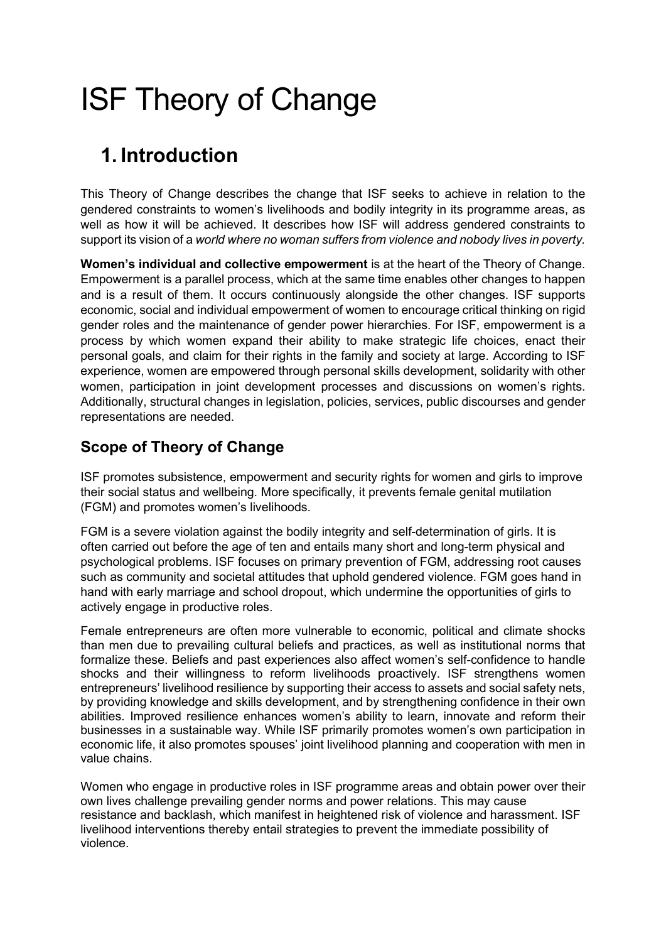# ISF Theory of Change

## 1. Introduction

This Theory of Change describes the change that ISF seeks to achieve in relation to the gendered constraints to women's livelihoods and bodily integrity in its programme areas, as well as how it will be achieved. It describes how ISF will address gendered constraints to support its vision of a world where no woman suffers from violence and nobody lives in poverty.

Women's individual and collective empowerment is at the heart of the Theory of Change. Empowerment is a parallel process, which at the same time enables other changes to happen and is a result of them. It occurs continuously alongside the other changes. ISF supports economic, social and individual empowerment of women to encourage critical thinking on rigid gender roles and the maintenance of gender power hierarchies. For ISF, empowerment is a process by which women expand their ability to make strategic life choices, enact their personal goals, and claim for their rights in the family and society at large. According to ISF experience, women are empowered through personal skills development, solidarity with other women, participation in joint development processes and discussions on women's rights. Additionally, structural changes in legislation, policies, services, public discourses and gender representations are needed.

#### Scope of Theory of Change

ISF promotes subsistence, empowerment and security rights for women and girls to improve their social status and wellbeing. More specifically, it prevents female genital mutilation (FGM) and promotes women's livelihoods.

FGM is a severe violation against the bodily integrity and self-determination of girls. It is often carried out before the age of ten and entails many short and long-term physical and psychological problems. ISF focuses on primary prevention of FGM, addressing root causes such as community and societal attitudes that uphold gendered violence. FGM goes hand in hand with early marriage and school dropout, which undermine the opportunities of girls to actively engage in productive roles.

Female entrepreneurs are often more vulnerable to economic, political and climate shocks than men due to prevailing cultural beliefs and practices, as well as institutional norms that formalize these. Beliefs and past experiences also affect women's self-confidence to handle shocks and their willingness to reform livelihoods proactively. ISF strengthens women entrepreneurs' livelihood resilience by supporting their access to assets and social safety nets, by providing knowledge and skills development, and by strengthening confidence in their own abilities. Improved resilience enhances women's ability to learn, innovate and reform their businesses in a sustainable way. While ISF primarily promotes women's own participation in economic life, it also promotes spouses' joint livelihood planning and cooperation with men in value chains.

Women who engage in productive roles in ISF programme areas and obtain power over their own lives challenge prevailing gender norms and power relations. This may cause resistance and backlash, which manifest in heightened risk of violence and harassment. ISF livelihood interventions thereby entail strategies to prevent the immediate possibility of violence.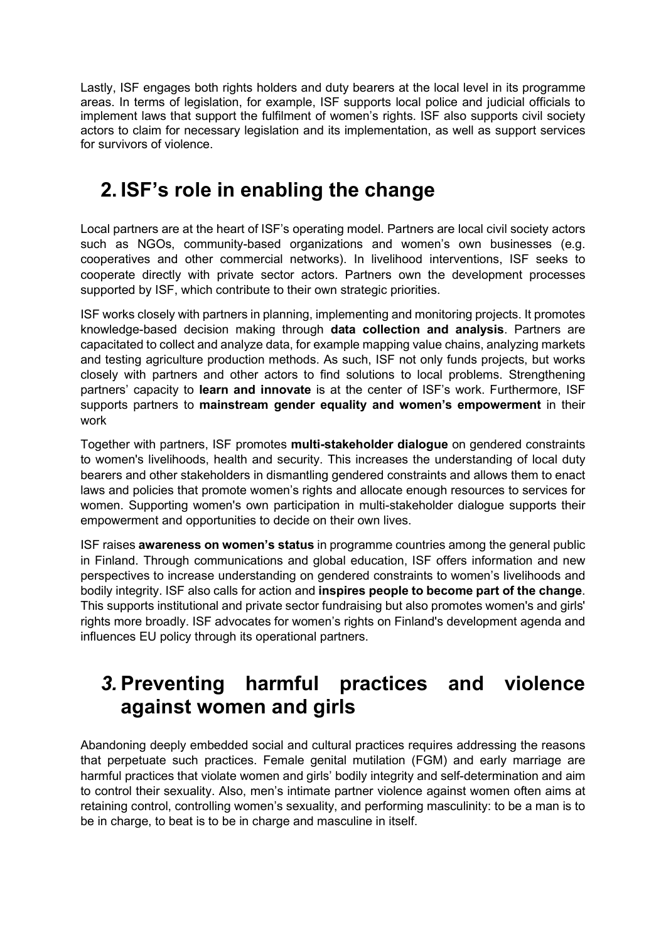Lastly, ISF engages both rights holders and duty bearers at the local level in its programme areas. In terms of legislation, for example, ISF supports local police and judicial officials to implement laws that support the fulfilment of women's rights. ISF also supports civil society actors to claim for necessary legislation and its implementation, as well as support services for survivors of violence.

### 2. ISF's role in enabling the change

Local partners are at the heart of ISF's operating model. Partners are local civil society actors such as NGOs, community-based organizations and women's own businesses (e.g. cooperatives and other commercial networks). In livelihood interventions, ISF seeks to cooperate directly with private sector actors. Partners own the development processes supported by ISF, which contribute to their own strategic priorities.

ISF works closely with partners in planning, implementing and monitoring projects. It promotes knowledge-based decision making through data collection and analysis. Partners are capacitated to collect and analyze data, for example mapping value chains, analyzing markets and testing agriculture production methods. As such, ISF not only funds projects, but works closely with partners and other actors to find solutions to local problems. Strengthening partners' capacity to learn and innovate is at the center of ISF's work. Furthermore, ISF supports partners to mainstream gender equality and women's empowerment in their work

Together with partners, ISF promotes multi-stakeholder dialogue on gendered constraints to women's livelihoods, health and security. This increases the understanding of local duty bearers and other stakeholders in dismantling gendered constraints and allows them to enact laws and policies that promote women's rights and allocate enough resources to services for women. Supporting women's own participation in multi-stakeholder dialogue supports their empowerment and opportunities to decide on their own lives.

ISF raises awareness on women's status in programme countries among the general public in Finland. Through communications and global education, ISF offers information and new perspectives to increase understanding on gendered constraints to women's livelihoods and bodily integrity. ISF also calls for action and inspires people to become part of the change. This supports institutional and private sector fundraising but also promotes women's and girls' rights more broadly. ISF advocates for women's rights on Finland's development agenda and influences EU policy through its operational partners.

#### 3. Preventing harmful practices and violence against women and girls

Abandoning deeply embedded social and cultural practices requires addressing the reasons that perpetuate such practices. Female genital mutilation (FGM) and early marriage are harmful practices that violate women and girls' bodily integrity and self-determination and aim to control their sexuality. Also, men's intimate partner violence against women often aims at retaining control, controlling women's sexuality, and performing masculinity: to be a man is to be in charge, to beat is to be in charge and masculine in itself.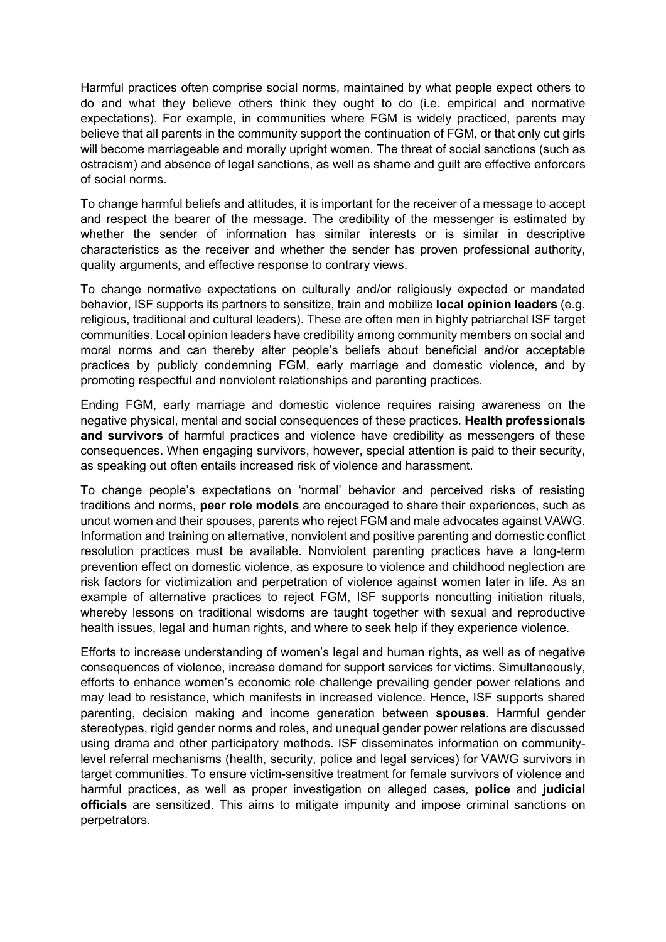Harmful practices often comprise social norms, maintained by what people expect others to do and what they believe others think they ought to do (i.e. empirical and normative expectations). For example, in communities where FGM is widely practiced, parents may believe that all parents in the community support the continuation of FGM, or that only cut girls will become marriageable and morally upright women. The threat of social sanctions (such as ostracism) and absence of legal sanctions, as well as shame and guilt are effective enforcers of social norms.

To change harmful beliefs and attitudes, it is important for the receiver of a message to accept and respect the bearer of the message. The credibility of the messenger is estimated by whether the sender of information has similar interests or is similar in descriptive characteristics as the receiver and whether the sender has proven professional authority, quality arguments, and effective response to contrary views.

To change normative expectations on culturally and/or religiously expected or mandated behavior, ISF supports its partners to sensitize, train and mobilize **local opinion leaders** (e.g. religious, traditional and cultural leaders). These are often men in highly patriarchal ISF target communities. Local opinion leaders have credibility among community members on social and moral norms and can thereby alter people's beliefs about beneficial and/or acceptable practices by publicly condemning FGM, early marriage and domestic violence, and by promoting respectful and nonviolent relationships and parenting practices.

Ending FGM, early marriage and domestic violence requires raising awareness on the negative physical, mental and social consequences of these practices. Health professionals and survivors of harmful practices and violence have credibility as messengers of these consequences. When engaging survivors, however, special attention is paid to their security, as speaking out often entails increased risk of violence and harassment.

To change people's expectations on 'normal' behavior and perceived risks of resisting traditions and norms, peer role models are encouraged to share their experiences, such as uncut women and their spouses, parents who reject FGM and male advocates against VAWG. Information and training on alternative, nonviolent and positive parenting and domestic conflict resolution practices must be available. Nonviolent parenting practices have a long-term prevention effect on domestic violence, as exposure to violence and childhood neglection are risk factors for victimization and perpetration of violence against women later in life. As an example of alternative practices to reject FGM, ISF supports noncutting initiation rituals, whereby lessons on traditional wisdoms are taught together with sexual and reproductive health issues, legal and human rights, and where to seek help if they experience violence.

Efforts to increase understanding of women's legal and human rights, as well as of negative consequences of violence, increase demand for support services for victims. Simultaneously, efforts to enhance women's economic role challenge prevailing gender power relations and may lead to resistance, which manifests in increased violence. Hence, ISF supports shared parenting, decision making and income generation between spouses. Harmful gender stereotypes, rigid gender norms and roles, and unequal gender power relations are discussed using drama and other participatory methods. ISF disseminates information on communitylevel referral mechanisms (health, security, police and legal services) for VAWG survivors in target communities. To ensure victim-sensitive treatment for female survivors of violence and harmful practices, as well as proper investigation on alleged cases, **police** and judicial officials are sensitized. This aims to mitigate impunity and impose criminal sanctions on perpetrators.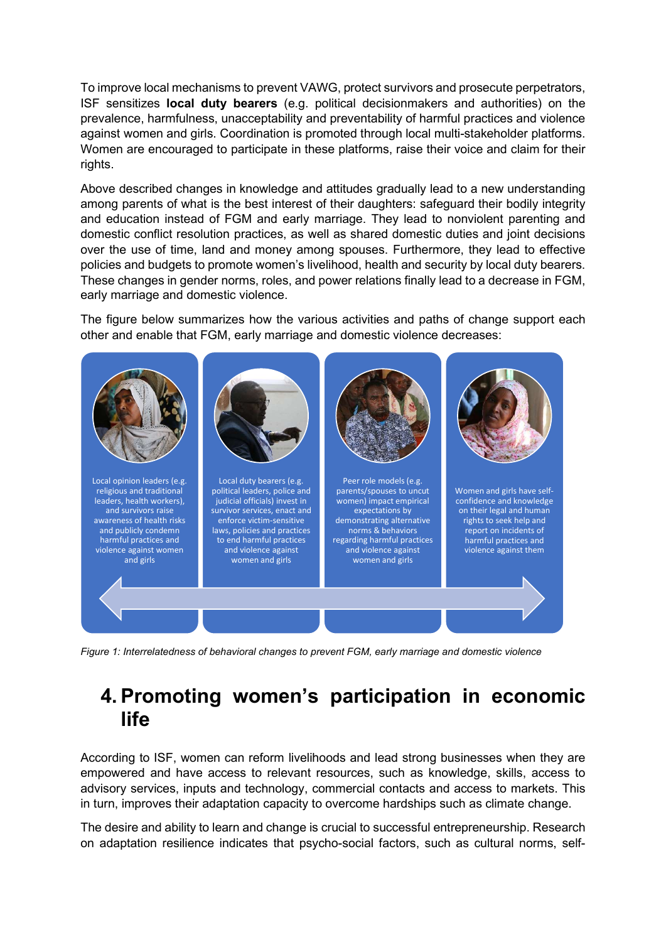To improve local mechanisms to prevent VAWG, protect survivors and prosecute perpetrators, ISF sensitizes local duty bearers (e.g. political decisionmakers and authorities) on the prevalence, harmfulness, unacceptability and preventability of harmful practices and violence against women and girls. Coordination is promoted through local multi-stakeholder platforms. Women are encouraged to participate in these platforms, raise their voice and claim for their rights.

Above described changes in knowledge and attitudes gradually lead to a new understanding among parents of what is the best interest of their daughters: safeguard their bodily integrity and education instead of FGM and early marriage. They lead to nonviolent parenting and domestic conflict resolution practices, as well as shared domestic duties and joint decisions over the use of time, land and money among spouses. Furthermore, they lead to effective policies and budgets to promote women's livelihood, health and security by local duty bearers. These changes in gender norms, roles, and power relations finally lead to a decrease in FGM, early marriage and domestic violence.

The figure below summarizes how the various activities and paths of change support each other and enable that FGM, early marriage and domestic violence decreases:



Figure 1: Interrelatedness of behavioral changes to prevent FGM, early marriage and domestic violence

#### 4. Promoting women's participation in economic life

According to ISF, women can reform livelihoods and lead strong businesses when they are empowered and have access to relevant resources, such as knowledge, skills, access to advisory services, inputs and technology, commercial contacts and access to markets. This in turn, improves their adaptation capacity to overcome hardships such as climate change.

The desire and ability to learn and change is crucial to successful entrepreneurship. Research on adaptation resilience indicates that psycho-social factors, such as cultural norms, self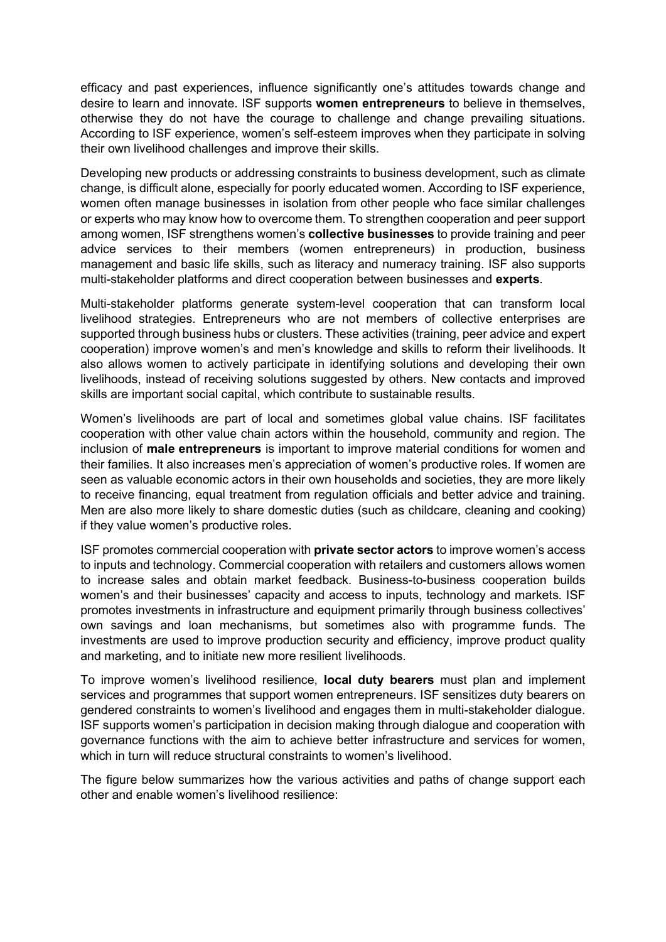efficacy and past experiences, influence significantly one's attitudes towards change and desire to learn and innovate. ISF supports women entrepreneurs to believe in themselves, otherwise they do not have the courage to challenge and change prevailing situations. According to ISF experience, women's self-esteem improves when they participate in solving their own livelihood challenges and improve their skills.

Developing new products or addressing constraints to business development, such as climate change, is difficult alone, especially for poorly educated women. According to ISF experience, women often manage businesses in isolation from other people who face similar challenges or experts who may know how to overcome them. To strengthen cooperation and peer support among women, ISF strengthens women's collective businesses to provide training and peer advice services to their members (women entrepreneurs) in production, business management and basic life skills, such as literacy and numeracy training. ISF also supports multi-stakeholder platforms and direct cooperation between businesses and experts.

Multi-stakeholder platforms generate system-level cooperation that can transform local livelihood strategies. Entrepreneurs who are not members of collective enterprises are supported through business hubs or clusters. These activities (training, peer advice and expert cooperation) improve women's and men's knowledge and skills to reform their livelihoods. It also allows women to actively participate in identifying solutions and developing their own livelihoods, instead of receiving solutions suggested by others. New contacts and improved skills are important social capital, which contribute to sustainable results.

Women's livelihoods are part of local and sometimes global value chains. ISF facilitates cooperation with other value chain actors within the household, community and region. The inclusion of male entrepreneurs is important to improve material conditions for women and their families. It also increases men's appreciation of women's productive roles. If women are seen as valuable economic actors in their own households and societies, they are more likely to receive financing, equal treatment from regulation officials and better advice and training. Men are also more likely to share domestic duties (such as childcare, cleaning and cooking) if they value women's productive roles.

ISF promotes commercial cooperation with private sector actors to improve women's access to inputs and technology. Commercial cooperation with retailers and customers allows women to increase sales and obtain market feedback. Business-to-business cooperation builds women's and their businesses' capacity and access to inputs, technology and markets. ISF promotes investments in infrastructure and equipment primarily through business collectives' own savings and loan mechanisms, but sometimes also with programme funds. The investments are used to improve production security and efficiency, improve product quality and marketing, and to initiate new more resilient livelihoods.

To improve women's livelihood resilience, local duty bearers must plan and implement services and programmes that support women entrepreneurs. ISF sensitizes duty bearers on gendered constraints to women's livelihood and engages them in multi-stakeholder dialogue. ISF supports women's participation in decision making through dialogue and cooperation with governance functions with the aim to achieve better infrastructure and services for women, which in turn will reduce structural constraints to women's livelihood.

The figure below summarizes how the various activities and paths of change support each other and enable women's livelihood resilience: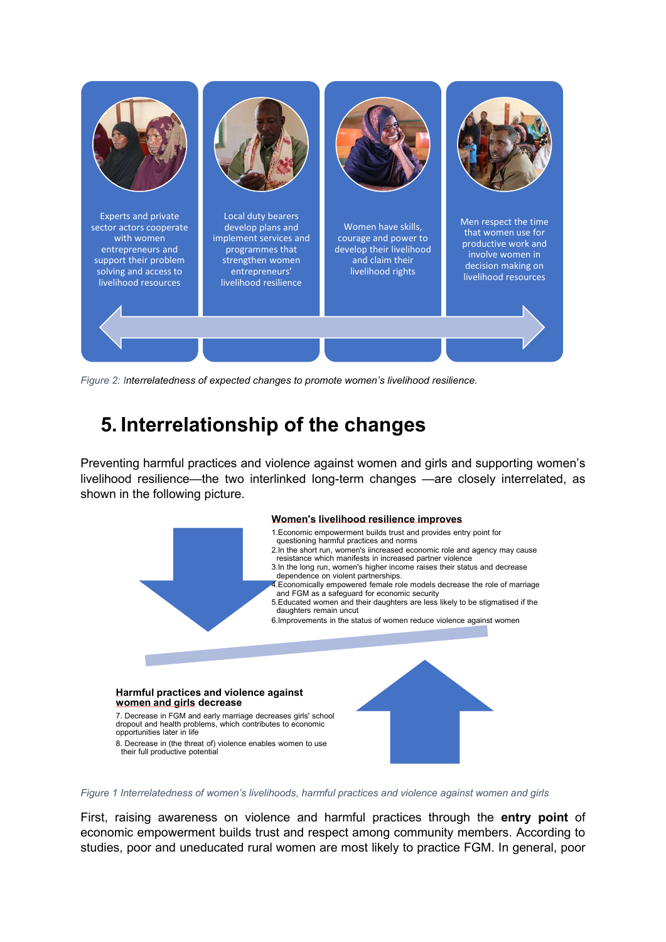

Figure 2: Interrelatedness of expected changes to promote women's livelihood resilience.

### 5. Interrelationship of the changes

Preventing harmful practices and violence against women and girls and supporting women's livelihood resilience—the two interlinked long-term changes —are closely interrelated, as shown in the following picture.



Figure 1 Interrelatedness of women's livelihoods, harmful practices and violence against women and girls

First, raising awareness on violence and harmful practices through the entry point of economic empowerment builds trust and respect among community members. According to studies, poor and uneducated rural women are most likely to practice FGM. In general, poor